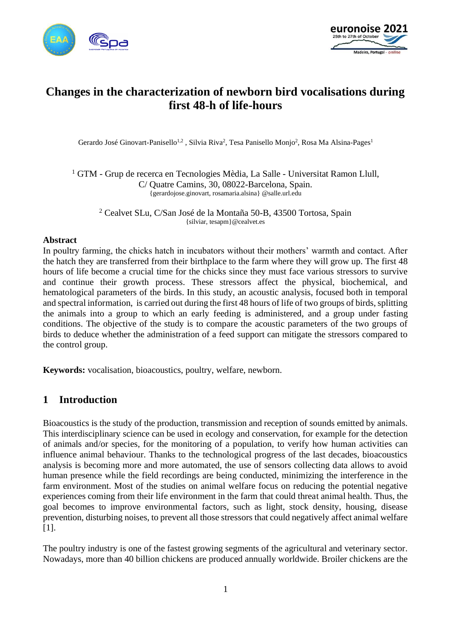



# **Changes in the characterization of newborn bird vocalisations during first 48-h of life-hours**

Gerardo José Ginovart-Panisello<sup>1,2</sup>, Silvia Riva<sup>2</sup>, Tesa Panisello Monjo<sup>2</sup>, Rosa Ma Alsina-Pages<sup>1</sup>

<sup>1</sup> GTM - Grup de recerca en Tecnologies Mèdia, La Salle - Universitat Ramon Llull, C/ Quatre Camins, 30, 08022-Barcelona, Spain. {gerardojose.ginovart, [rosamaria.alsina} @salle.url.edu](mailto:rosamaria.alsina%7d@salle.url.edu)

<sup>2</sup> Cealvet SLu, C/San José de la Montaña 50-B, 43500 Tortosa, Spain {silviar, tesapm}@cealvet.es

#### **Abstract**

In poultry farming, the chicks hatch in incubators without their mothers' warmth and contact. After the hatch they are transferred from their birthplace to the farm where they will grow up. The first 48 hours of life become a crucial time for the chicks since they must face various stressors to survive and continue their growth process. These stressors affect the physical, biochemical, and hematological parameters of the birds. In this study, an acoustic analysis, focused both in temporal and spectral information, is carried out during the first 48 hours of life of two groups of birds, splitting the animals into a group to which an early feeding is administered, and a group under fasting conditions. The objective of the study is to compare the acoustic parameters of the two groups of birds to deduce whether the administration of a feed support can mitigate the stressors compared to the control group.

**Keywords:** vocalisation, bioacoustics, poultry, welfare, newborn.

## **1 Introduction**

Bioacoustics is the study of the production, transmission and reception of sounds emitted by animals. This interdisciplinary science can be used in ecology and conservation, for example for the detection of animals and/or species, for the monitoring of a population, to verify how human activities can influence animal behaviour. Thanks to the technological progress of the last decades, bioacoustics analysis is becoming more and more automated, the use of sensors collecting data allows to avoid human presence while the field recordings are being conducted, minimizing the interference in the farm environment. Most of the studies on animal welfare focus on reducing the potential negative experiences coming from their life environment in the farm that could threat animal health. Thus, the goal becomes to improve environmental factors, such as light, stock density, housing, disease prevention, disturbing noises, to prevent all those stressors that could negatively affect animal welfare [1].

The poultry industry is one of the fastest growing segments of the agricultural and veterinary sector. Nowadays, more than 40 billion chickens are produced annually worldwide. Broiler chickens are the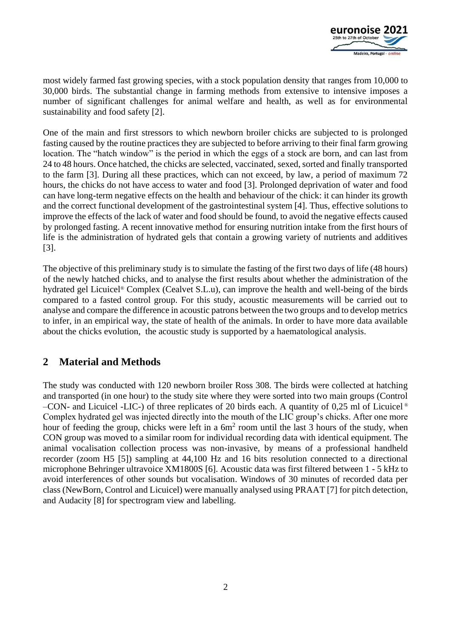

most widely farmed fast growing species, with a stock population density that ranges from 10,000 to 30,000 birds. The substantial change in farming methods from extensive to intensive imposes a number of significant challenges for animal welfare and health, as well as for environmental sustainability and food safety [2].

One of the main and first stressors to which newborn broiler chicks are subjected to is prolonged fasting caused by the routine practices they are subjected to before arriving to their final farm growing location. The "hatch window" is the period in which the eggs of a stock are born, and can last from 24 to 48 hours. Once hatched, the chicks are selected, vaccinated, sexed, sorted and finally transported to the farm [3]. During all these practices, which can not exceed, by law, a period of maximum 72 hours, the chicks do not have access to water and food [3]. Prolonged deprivation of water and food can have long-term negative effects on the health and behaviour of the chick: it can hinder its growth and the correct functional development of the gastrointestinal system [4]. Thus, effective solutions to improve the effects of the lack of water and food should be found, to avoid the negative effects caused by prolonged fasting. A recent innovative method for ensuring nutrition intake from the first hours of life is the administration of hydrated gels that contain a growing variety of nutrients and additives [3].

The objective of this preliminary study is to simulate the fasting of the first two days of life (48 hours) of the newly hatched chicks, and to analyse the first results about whether the administration of the hydrated gel Licuicel® Complex (Cealvet S.L.u), can improve the health and well-being of the birds compared to a fasted control group. For this study, acoustic measurements will be carried out to analyse and compare the difference in acoustic patrons between the two groups and to develop metrics to infer, in an empirical way, the state of health of the animals. In order to have more data available about the chicks evolution, the acoustic study is supported by a haematological analysis.

# **2 Material and Methods**

The study was conducted with 120 newborn broiler Ross 308. The birds were collected at hatching and transported (in one hour) to the study site where they were sorted into two main groups (Control –CON- and Licuicel -LIC-) of three replicates of 20 birds each. A quantity of 0,25 ml of Licuicel  $\circ$ Complex hydrated gel was injected directly into the mouth of the LIC group's chicks. After one more hour of feeding the group, chicks were left in a  $6m<sup>2</sup>$  room until the last 3 hours of the study, when CON group was moved to a similar room for individual recording data with identical equipment. The animal vocalisation collection process was non-invasive, by means of a professional handheld recorder (zoom H5 [5]) sampling at 44,100 Hz and 16 bits resolution connected to a directional microphone Behringer ultravoice XM1800S [6]. Acoustic data was first filtered between 1 - 5 kHz to avoid interferences of other sounds but vocalisation. Windows of 30 minutes of recorded data per class (NewBorn, Control and Licuicel) were manually analysed using PRAAT [7] for pitch detection, and Audacity [8] for spectrogram view and labelling.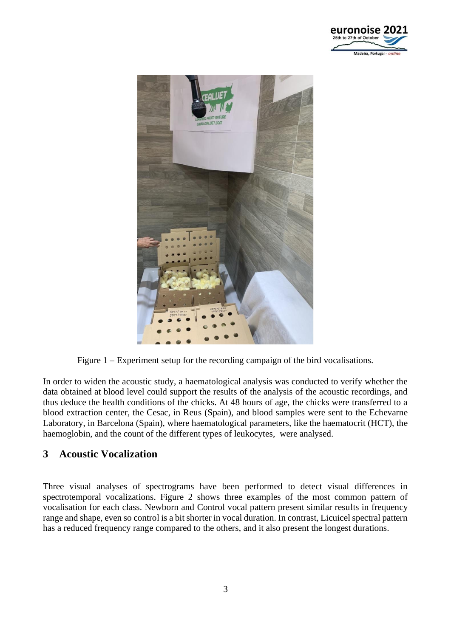



Figure 1 – Experiment setup for the recording campaign of the bird vocalisations.

In order to widen the acoustic study, a haematological analysis was conducted to verify whether the data obtained at blood level could support the results of the analysis of the acoustic recordings, and thus deduce the health conditions of the chicks. At 48 hours of age, the chicks were transferred to a blood extraction center, the Cesac, in Reus (Spain), and blood samples were sent to the Echevarne Laboratory, in Barcelona (Spain), where haematological parameters, like the haematocrit (HCT), the haemoglobin, and the count of the different types of leukocytes, were analysed.

## **3 Acoustic Vocalization**

Three visual analyses of spectrograms have been performed to detect visual differences in spectrotemporal vocalizations. Figure 2 shows three examples of the most common pattern of vocalisation for each class. Newborn and Control vocal pattern present similar results in frequency range and shape, even so control is a bit shorter in vocal duration. In contrast, Licuicel spectral pattern has a reduced frequency range compared to the others, and it also present the longest durations.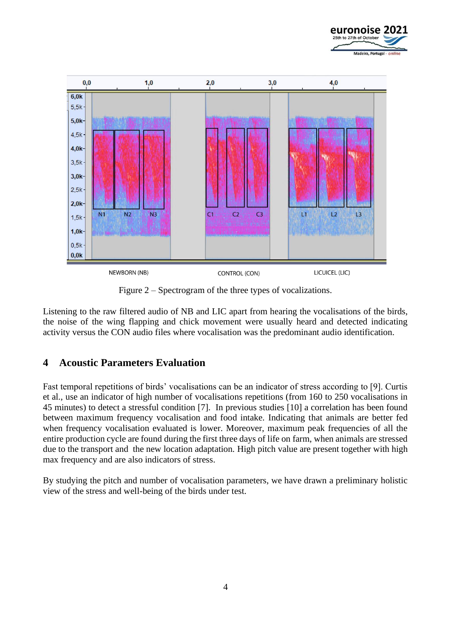



Figure 2 – Spectrogram of the three types of vocalizations.

Listening to the raw filtered audio of NB and LIC apart from hearing the vocalisations of the birds, the noise of the wing flapping and chick movement were usually heard and detected indicating activity versus the CON audio files where vocalisation was the predominant audio identification.

# **4 Acoustic Parameters Evaluation**

Fast temporal repetitions of birds' vocalisations can be an indicator of stress according to [9]. Curtis et al., use an indicator of high number of vocalisations repetitions (from 160 to 250 vocalisations in 45 minutes) to detect a stressful condition [7]. In previous studies [10] a correlation has been found between maximum frequency vocalisation and food intake. Indicating that animals are better fed when frequency vocalisation evaluated is lower. Moreover, maximum peak frequencies of all the entire production cycle are found during the first three days of life on farm, when animals are stressed due to the transport and the new location adaptation. High pitch value are present together with high max frequency and are also indicators of stress.

By studying the pitch and number of vocalisation parameters, we have drawn a preliminary holistic view of the stress and well-being of the birds under test.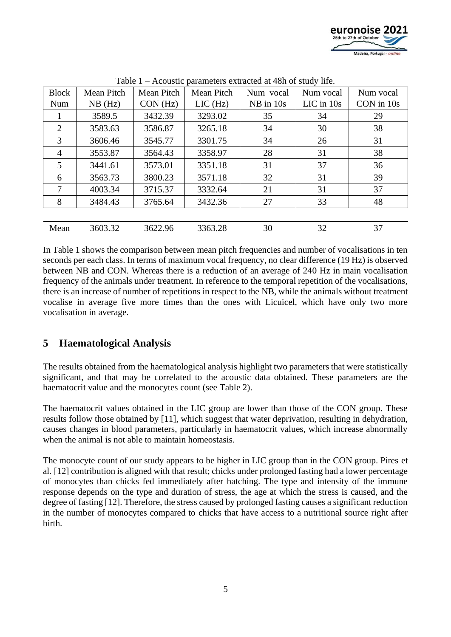

| <b>Block</b>   | <b>Mean Pitch</b> | Mean Pitch | <b>Mean Pitch</b> | Num vocal     | Num vocal      | Num vocal  |
|----------------|-------------------|------------|-------------------|---------------|----------------|------------|
| Num            | $NB$ (Hz)         | CON(Hz)    | $LIC$ (Hz)        | $NB$ in $10s$ | $LIC$ in $10s$ | CON in 10s |
|                | 3589.5            | 3432.39    | 3293.02           | 35            | 34             | 29         |
| 2              | 3583.63           | 3586.87    | 3265.18           | 34            | 30             | 38         |
| 3              | 3606.46           | 3545.77    | 3301.75           | 34            | 26             | 31         |
| $\overline{4}$ | 3553.87           | 3564.43    | 3358.97           | 28            | 31             | 38         |
| 5              | 3441.61           | 3573.01    | 3351.18           | 31            | 37             | 36         |
| 6              | 3563.73           | 3800.23    | 3571.18           | 32            | 31             | 39         |
| 7              | 4003.34           | 3715.37    | 3332.64           | 21            | 31             | 37         |
| 8              | 3484.43           | 3765.64    | 3432.36           | 27            | 33             | 48         |
|                |                   |            |                   |               |                |            |
| Mean           | 3603.32           | 3622.96    | 3363.28           | 30            | 32             | 37         |

Table 1 – Acoustic parameters extracted at 48h of study life.

In Table 1 shows the comparison between mean pitch frequencies and number of vocalisations in ten seconds per each class. In terms of maximum vocal frequency, no clear difference (19 Hz) is observed between NB and CON. Whereas there is a reduction of an average of 240 Hz in main vocalisation frequency of the animals under treatment. In reference to the temporal repetition of the vocalisations, there is an increase of number of repetitions in respect to the NB, while the animals without treatment vocalise in average five more times than the ones with Licuicel, which have only two more vocalisation in average.

# **5 Haematological Analysis**

The results obtained from the haematological analysis highlight two parameters that were statistically significant, and that may be correlated to the acoustic data obtained. These parameters are the haematocrit value and the monocytes count (see Table 2).

The haematocrit values obtained in the LIC group are lower than those of the CON group. These results follow those obtained by [11], which suggest that water deprivation, resulting in dehydration, causes changes in blood parameters, particularly in haematocrit values, which increase abnormally when the animal is not able to maintain homeostasis.

The monocyte count of our study appears to be higher in LIC group than in the CON group. Pires et al. [12] contribution is aligned with that result; chicks under prolonged fasting had a lower percentage of monocytes than chicks fed immediately after hatching. The type and intensity of the immune response depends on the type and duration of stress, the age at which the stress is caused, and the degree of fasting [12]. Therefore, the stress caused by prolonged fasting causes a significant reduction in the number of monocytes compared to chicks that have access to a nutritional source right after birth.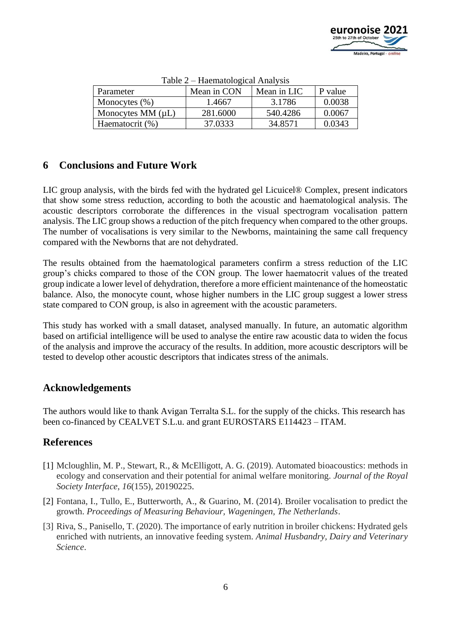

| $1$ avic $2 - 1$ racinatological Afranysis |             |             |         |  |  |  |  |
|--------------------------------------------|-------------|-------------|---------|--|--|--|--|
| Parameter                                  | Mean in CON | Mean in LIC | P value |  |  |  |  |
| Monocytes $(\% )$                          | 1.4667      | 3.1786      | 0.0038  |  |  |  |  |
| Monocytes MM $(\mu L)$                     | 281.6000    | 540.4286    | 0.0067  |  |  |  |  |
| Haematocrit (%)                            | 37.0333     | 34.8571     | 0.0343  |  |  |  |  |

Table 2 – Haematological Analysis

# **6 Conclusions and Future Work**

LIC group analysis, with the birds fed with the hydrated gel Licuicel® Complex, present indicators that show some stress reduction, according to both the acoustic and haematological analysis. The acoustic descriptors corroborate the differences in the visual spectrogram vocalisation pattern analysis. The LIC group shows a reduction of the pitch frequency when compared to the other groups. The number of vocalisations is very similar to the Newborns, maintaining the same call frequency compared with the Newborns that are not dehydrated.

The results obtained from the haematological parameters confirm a stress reduction of the LIC group's chicks compared to those of the CON group. The lower haematocrit values of the treated group indicate a lower level of dehydration, therefore a more efficient maintenance of the homeostatic balance. Also, the monocyte count, whose higher numbers in the LIC group suggest a lower stress state compared to CON group, is also in agreement with the acoustic parameters.

This study has worked with a small dataset, analysed manually. In future, an automatic algorithm based on artificial intelligence will be used to analyse the entire raw acoustic data to widen the focus of the analysis and improve the accuracy of the results. In addition, more acoustic descriptors will be tested to develop other acoustic descriptors that indicates stress of the animals.

# **Acknowledgements**

The authors would like to thank Avigan Terralta S.L. for the supply of the chicks. This research has been co-financed by CEALVET S.L.u. and grant EUROSTARS E114423 – ITAM.

# **References**

- [1] Mcloughlin, M. P., Stewart, R., & McElligott, A. G. (2019). Automated bioacoustics: methods in ecology and conservation and their potential for animal welfare monitoring. *Journal of the Royal Society Interface*, *16*(155), 20190225.
- [2] Fontana, I., Tullo, E., Butterworth, A., & Guarino, M. (2014). Broiler vocalisation to predict the growth. *Proceedings of Measuring Behaviour, Wageningen, The Netherlands*.
- [3] Riva, S., Panisello, T. (2020). The importance of early nutrition in broiler chickens: Hydrated gels enriched with nutrients, an innovative feeding system. *Animal Husbandry, Dairy and Veterinary Science*.